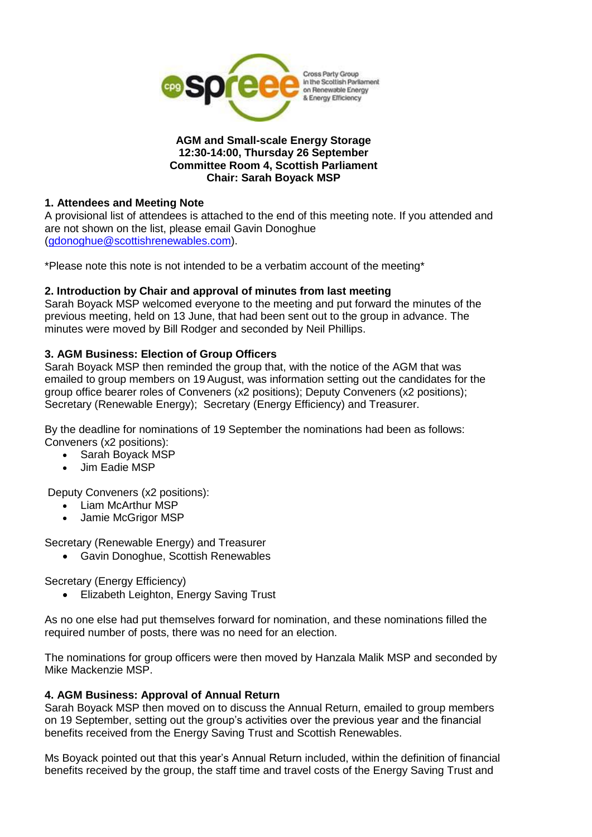

#### **AGM and Small-scale Energy Storage 12:30-14:00, Thursday 26 September Committee Room 4, Scottish Parliament Chair: Sarah Boyack MSP**

### **1. Attendees and Meeting Note**

A provisional list of attendees is attached to the end of this meeting note. If you attended and are not shown on the list, please email Gavin Donoghue [\(gdonoghue@scottishrenewables.com\)](mailto:gdonoghue@scottishrenewables.com).

\*Please note this note is not intended to be a verbatim account of the meeting\*

## **2. Introduction by Chair and approval of minutes from last meeting**

Sarah Boyack MSP welcomed everyone to the meeting and put forward the minutes of the previous meeting, held on 13 June, that had been sent out to the group in advance. The minutes were moved by Bill Rodger and seconded by Neil Phillips.

## **3. AGM Business: Election of Group Officers**

Sarah Boyack MSP then reminded the group that, with the notice of the AGM that was emailed to group members on 19 August, was information setting out the candidates for the group office bearer roles of Conveners (x2 positions); Deputy Conveners (x2 positions); Secretary (Renewable Energy); Secretary (Energy Efficiency) and Treasurer.

By the deadline for nominations of 19 September the nominations had been as follows: Conveners (x2 positions):

- Sarah Boyack MSP
- Jim Eadie MSP

Deputy Conveners (x2 positions):

- Liam McArthur MSP
- Jamie McGrigor MSP

Secretary (Renewable Energy) and Treasurer

Gavin Donoghue, Scottish Renewables

Secretary (Energy Efficiency)

**•** Elizabeth Leighton, Energy Saving Trust

As no one else had put themselves forward for nomination, and these nominations filled the required number of posts, there was no need for an election.

The nominations for group officers were then moved by Hanzala Malik MSP and seconded by Mike Mackenzie MSP.

## **4. AGM Business: Approval of Annual Return**

Sarah Boyack MSP then moved on to discuss the Annual Return, emailed to group members on 19 September, setting out the group's activities over the previous year and the financial benefits received from the Energy Saving Trust and Scottish Renewables.

Ms Boyack pointed out that this year's Annual Return included, within the definition of financial benefits received by the group, the staff time and travel costs of the Energy Saving Trust and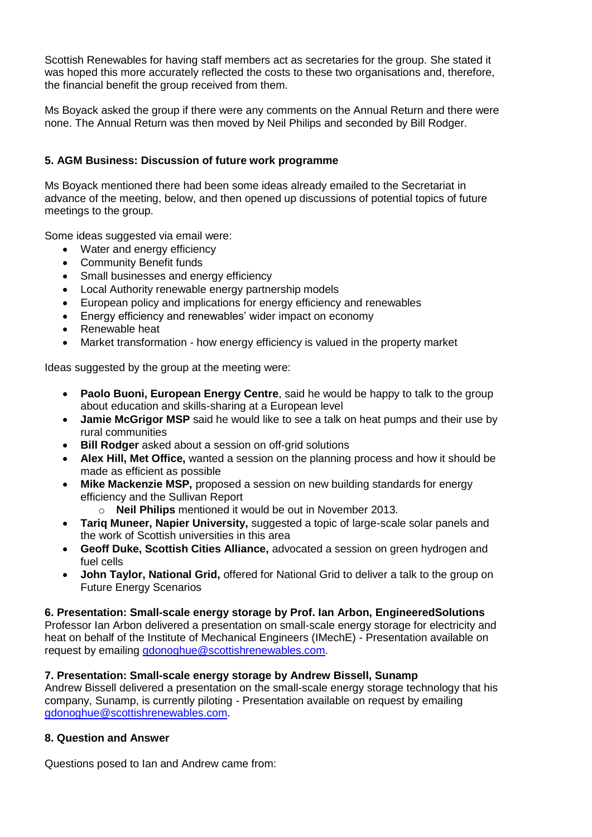Scottish Renewables for having staff members act as secretaries for the group. She stated it was hoped this more accurately reflected the costs to these two organisations and, therefore, the financial benefit the group received from them.

Ms Boyack asked the group if there were any comments on the Annual Return and there were none. The Annual Return was then moved by Neil Philips and seconded by Bill Rodger.

## **5. AGM Business: Discussion of future work programme**

Ms Boyack mentioned there had been some ideas already emailed to the Secretariat in advance of the meeting, below, and then opened up discussions of potential topics of future meetings to the group.

Some ideas suggested via email were:

- Water and energy efficiency
- Community Benefit funds
- Small businesses and energy efficiency
- Local Authority renewable energy partnership models
- European policy and implications for energy efficiency and renewables
- Energy efficiency and renewables' wider impact on economy
- Renewable heat
- Market transformation how energy efficiency is valued in the property market

Ideas suggested by the group at the meeting were:

- **Paolo Buoni, European Energy Centre**, said he would be happy to talk to the group about education and skills-sharing at a European level
- **Jamie McGrigor MSP** said he would like to see a talk on heat pumps and their use by rural communities
- **Bill Rodger** asked about a session on off-grid solutions
- **Alex Hill, Met Office,** wanted a session on the planning process and how it should be made as efficient as possible
- **Mike Mackenzie MSP,** proposed a session on new building standards for energy efficiency and the Sullivan Report
	- o **Neil Philips** mentioned it would be out in November 2013.
- **Tariq Muneer, Napier University,** suggested a topic of large-scale solar panels and the work of Scottish universities in this area
- **Geoff Duke, Scottish Cities Alliance,** advocated a session on green hydrogen and fuel cells
- **John Taylor, National Grid,** offered for National Grid to deliver a talk to the group on Future Energy Scenarios

#### **6. Presentation: Small-scale energy storage by Prof. Ian Arbon, EngineeredSolutions**

Professor Ian Arbon delivered a presentation on small-scale energy storage for electricity and heat on behalf of the Institute of Mechanical Engineers (IMechE) - Presentation available on request by emailing [gdonoghue@scottishrenewables.com.](mailto:gdonoghue@scottishrenewables.com)

## **7. Presentation: Small-scale energy storage by Andrew Bissell, Sunamp**

Andrew Bissell delivered a presentation on the small-scale energy storage technology that his company, Sunamp, is currently piloting - Presentation available on request by emailing [gdonoghue@scottishrenewables.com.](mailto:gdonoghue@scottishrenewables.com)

## **8. Question and Answer**

Questions posed to Ian and Andrew came from: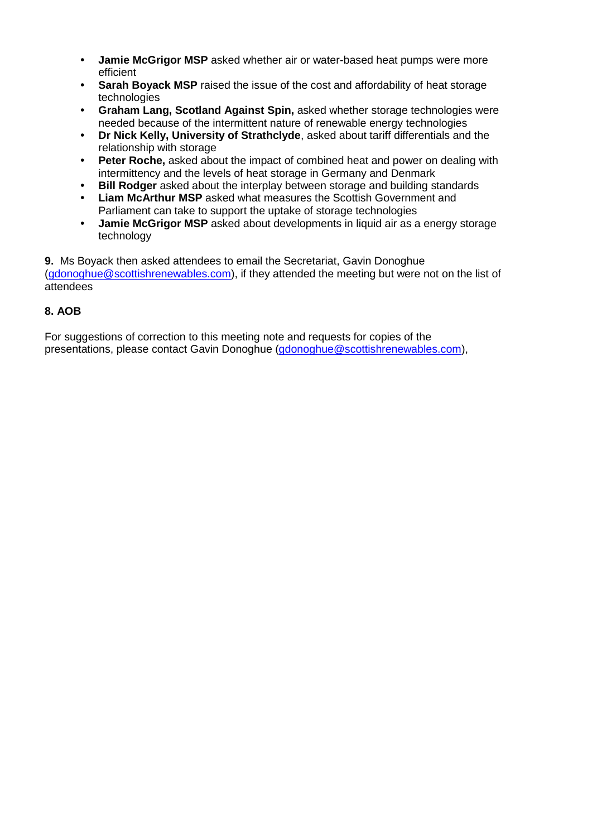- **• Jamie McGrigor MSP** asked whether air or water-based heat pumps were more efficient
- **Sarah Boyack MSP** raised the issue of the cost and affordability of heat storage technologies
- **• Graham Lang, Scotland Against Spin,** asked whether storage technologies were needed because of the intermittent nature of renewable energy technologies
- **• Dr Nick Kelly, University of Strathclyde**, asked about tariff differentials and the relationship with storage
- **• Peter Roche,** asked about the impact of combined heat and power on dealing with intermittency and the levels of heat storage in Germany and Denmark
- **• Bill Rodger** asked about the interplay between storage and building standards
- **• Liam McArthur MSP** asked what measures the Scottish Government and Parliament can take to support the uptake of storage technologies
- **• Jamie McGrigor MSP** asked about developments in liquid air as a energy storage technology

**9.** Ms Boyack then asked attendees to email the Secretariat, Gavin Donoghue [\(gdonoghue@scottishrenewables.com\)](mailto:gdonoghue@scottishrenewables.com), if they attended the meeting but were not on the list of attendees

## **8. AOB**

For suggestions of correction to this meeting note and requests for copies of the presentations, please contact Gavin Donoghue [\(gdonoghue@scottishrenewables.com\)](mailto:gdonoghue@scottishrenewables.com),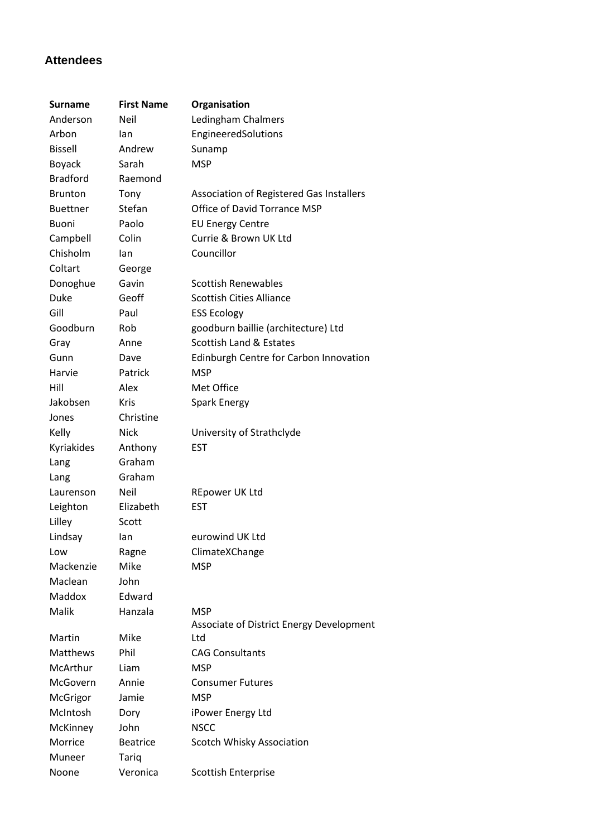# **Attendees**

| <b>Surname</b>  | <b>First Name</b> | Organisation                             |
|-----------------|-------------------|------------------------------------------|
| Anderson        | Neil              | Ledingham Chalmers                       |
| Arbon           | lan               | EngineeredSolutions                      |
| <b>Bissell</b>  | Andrew            | Sunamp                                   |
| <b>Boyack</b>   | Sarah             | <b>MSP</b>                               |
| <b>Bradford</b> | Raemond           |                                          |
| <b>Brunton</b>  | Tony              | Association of Registered Gas Installers |
| <b>Buettner</b> | Stefan            | <b>Office of David Torrance MSP</b>      |
| <b>Buoni</b>    | Paolo             | <b>EU Energy Centre</b>                  |
| Campbell        | Colin             | Currie & Brown UK Ltd                    |
| Chisholm        | lan               | Councillor                               |
| Coltart         | George            |                                          |
| Donoghue        | Gavin             | <b>Scottish Renewables</b>               |
| Duke            | Geoff             | <b>Scottish Cities Alliance</b>          |
| Gill            | Paul              | <b>ESS Ecology</b>                       |
| Goodburn        | Rob               | goodburn baillie (architecture) Ltd      |
| Gray            | Anne              | <b>Scottish Land &amp; Estates</b>       |
| Gunn            | Dave              | Edinburgh Centre for Carbon Innovation   |
| Harvie          | Patrick           | <b>MSP</b>                               |
| Hill            | Alex              | Met Office                               |
| Jakobsen        | <b>Kris</b>       | <b>Spark Energy</b>                      |
| Jones           | Christine         |                                          |
| Kelly           | <b>Nick</b>       | University of Strathclyde                |
| Kyriakides      | Anthony           | <b>EST</b>                               |
| Lang            | Graham            |                                          |
| Lang            | Graham            |                                          |
| Laurenson       | Neil              | <b>REpower UK Ltd</b>                    |
| Leighton        | Elizabeth         | <b>EST</b>                               |
| Lilley          | Scott             |                                          |
| Lindsay         | lan               | eurowind UK Ltd                          |
| Low             | Ragne             | ClimateXChange                           |
| Mackenzie       | Mike              | <b>MSP</b>                               |
| Maclean         | John              |                                          |
| Maddox          | Edward            |                                          |
| Malik           | Hanzala           | <b>MSP</b>                               |
|                 |                   | Associate of District Energy Development |
| Martin          | Mike              | Ltd                                      |
| <b>Matthews</b> | Phil              | <b>CAG Consultants</b>                   |
| McArthur        | Liam              | <b>MSP</b>                               |
| McGovern        | Annie             | <b>Consumer Futures</b>                  |
| McGrigor        | Jamie             | <b>MSP</b>                               |
| McIntosh        | Dory              | iPower Energy Ltd                        |
| McKinney        | John              | <b>NSCC</b>                              |
| Morrice         | <b>Beatrice</b>   | Scotch Whisky Association                |
| Muneer          | Tariq             |                                          |
| Noone           | Veronica          | <b>Scottish Enterprise</b>               |